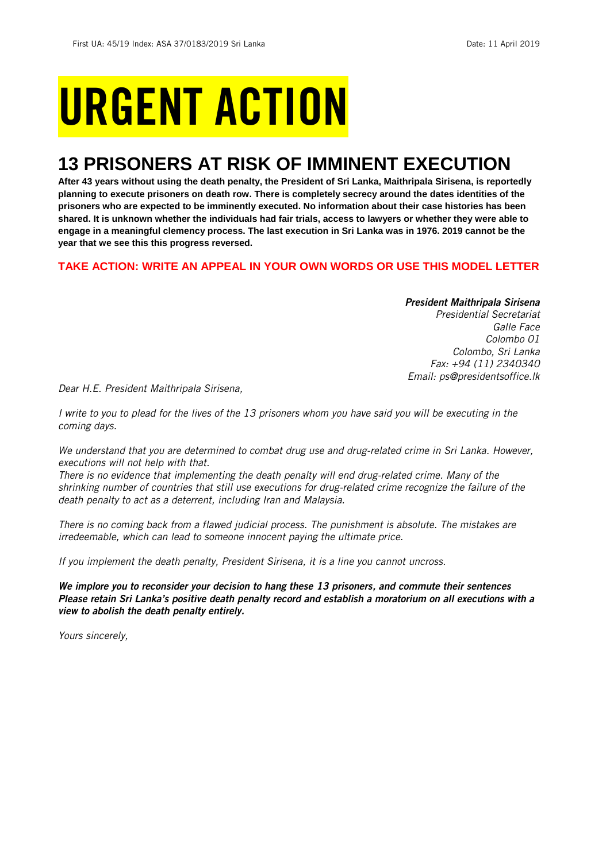# URGENT ACTION

## **13 PRISONERS AT RISK OF IMMINENT EXECUTION**

**After 43 years without using the death penalty, the President of Sri Lanka, Maithripala Sirisena, is reportedly planning to execute prisoners on death row. There is completely secrecy around the dates identities of the prisoners who are expected to be imminently executed. No information about their case histories has been shared. It is unknown whether the individuals had fair trials, access to lawyers or whether they were able to engage in a meaningful clemency process. The last execution in Sri Lanka was in 1976. 2019 cannot be the year that we see this this progress reversed.**

## **TAKE ACTION: WRITE AN APPEAL IN YOUR OWN WORDS OR USE THIS MODEL LETTER**

### *President Maithripala Sirisena*

*Presidential Secretariat Galle Face Colombo 01 Colombo, Sri Lanka Fax: +94 (11) 2340340 Email: ps@presidentsoffice.lk*

*Dear H.E. President Maithripala Sirisena,*

*I* write to you to plead for the lives of the 13 prisoners whom you have said you will be executing in the *coming days.* 

*We understand that you are determined to combat drug use and drug-related crime in Sri Lanka. However, executions will not help with that.*

*There is no evidence that implementing the death penalty will end drug-related crime. Many of the shrinking number of countries that still use executions for drug-related crime recognize the failure of the death penalty to act as a deterrent, including Iran and Malaysia.*

*There is no coming back from a flawed judicial process. The punishment is absolute. The mistakes are irredeemable, which can lead to someone innocent paying the ultimate price.* 

*If you implement the death penalty, President Sirisena, it is a line you cannot uncross.*

*We implore you to reconsider your decision to hang these 13 prisoners, and commute their sentences Please retain Sri Lanka's positive death penalty record and establish a moratorium on all executions with a view to abolish the death penalty entirely.*

*Yours sincerely,*